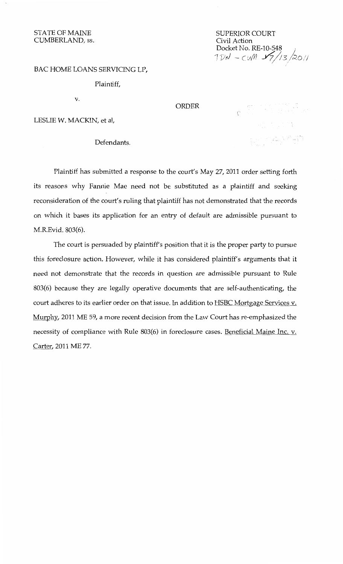## STATE OF MAINE CUMBERLAND, ss.

SUPERIOR COURT Civil Action Docket No. RE-10-548 *)*  ~1 *VW* - c u!YJ *Y?j;* 3/::<0 */I* 

## BAC HOME LOANS SERVICING LP,

Plaintiff,

v.

ORDER

LESLIE W. MACKIN, et al,

Defendants.

 $\label{eq:qcd} \mathcal{C}^{(1)}\stackrel{\text{def}}{=} \mathcal{C}^{(1)}\stackrel{\text{def}}{=} \mathcal{C}^{(1)}\stackrel{\text{def}}{=} \mathcal{C}^{(1)}\stackrel{\text{def}}{=} \mathcal{C}^{(1)}\stackrel{\text{def}}{=} \mathcal{C}^{(1)}\stackrel{\text{def}}{=} \mathcal{C}^{(1)}\stackrel{\text{def}}{=} \mathcal{C}^{(1)}\stackrel{\text{def}}{=} \mathcal{C}^{(1)}\stackrel{\text{def}}{=} \mathcal{C}^{(1)}\stackrel{\text{def}}{=} \mathcal{C}^{(1)}\stack$  $\label{eq:3.1} \frac{1}{2}\int_{-\infty}^{\infty} \frac{d\phi}{\phi} \frac{d\phi}{\phi} \frac{d\phi}{\phi} \frac{d\phi}{\phi} \frac{d\phi}{\phi} \frac{d\phi}{\phi} \frac{d\phi}{\phi} \frac{d\phi}{\phi} \frac{d\phi}{\phi} \frac{d\phi}{\phi} \frac{d\phi}{\phi} \frac{d\phi}{\phi} \frac{d\phi}{\phi} \frac{d\phi}{\phi} \frac{d\phi}{\phi} \frac{d\phi}{\phi} \frac{d\phi}{\phi} \frac{d\phi}{\phi} \frac{d\phi}{\phi} \frac{$  $\lim_{\mathcal{D}^{\mathcal{D}}}\mathcal{D}^{\mathcal{D}}=\lim_{\mathcal{D}^{\mathcal{D}}}\mathcal{D}^{\mathcal{D}}=\lim_{\mathcal{D}^{\mathcal{D}}}\mathcal{D}^{\mathcal{D}}$ 

Plaintiff has submitted a response to the court's May 27, 2011 order setting forth its reasons why Fannie Mae need not be substituted as a plaintiff and seeking reconsideration of the court's ruling that plaintiff has not demonstrated that the records on which it bases its application for an entry of default are admissible pursuant to M.R.Evid. 803(6).

The court is persuaded by plaintiff's position that it is the proper party to pursue this foreclosure action. However, while it has considered plaintiff's arguments that it need not demonstrate that the records in question are admissible pursuant to Rule 803(6) because they are legally operative documents that are self-authenticating, the court adheres to its earlier order on that issue. In addition to HSBC Mortgage Services v. Murphy, 2011 ME 59, a more recent decision from the Law Court has re-emphasized the necessity of compliance with Rule 803(6) in foreclosure cases. Beneficial Maine Inc. v. Carter, 2011 ME 77.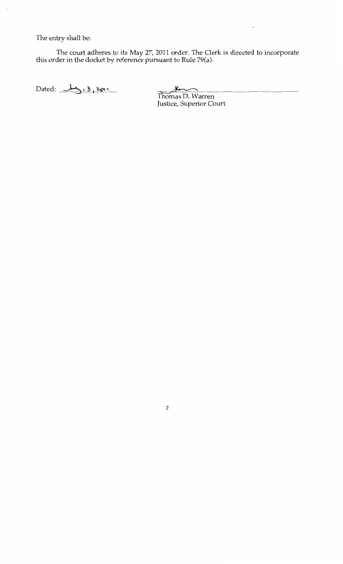The entry shall be:

The court adheres to its May 27, 2011 order. The Clerk is directed to incorporate this order in the docket by reference pursuant to Rule 79(a).

Dated: *July* 13, 2011

 $\cdot$ 

**Thomas D. Warren** Justice, Superior Court